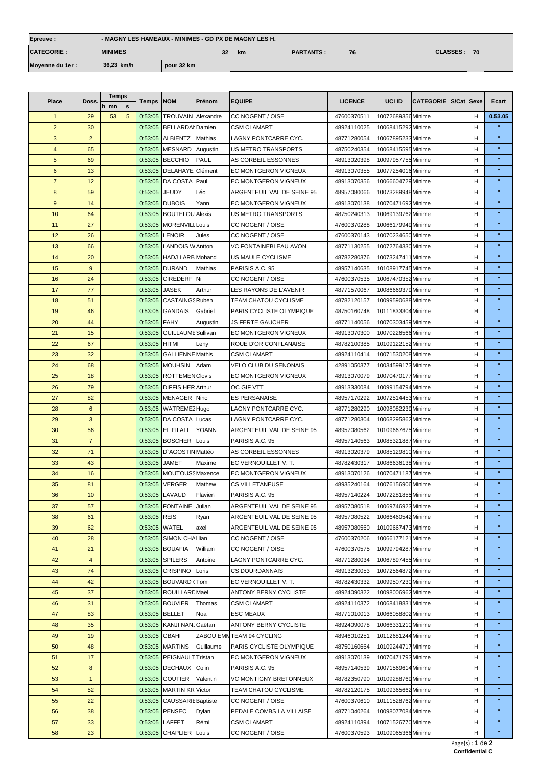| Epreuve:          | - MAGNY LES HAMEAUX - MINIMES - GD PX DE MAGNY LES H. |            |           |                  |    |                        |  |  |  |
|-------------------|-------------------------------------------------------|------------|-----------|------------------|----|------------------------|--|--|--|
| <b>CATEGORIE:</b> | <b>MINIMES</b>                                        | 32         | <b>km</b> | <b>PARTANTS:</b> | 76 | <b>CLASSES :</b><br>70 |  |  |  |
| Moyenne du 1er :  | 36,23 km/h                                            | pour 32 km |           |                  |    |                        |  |  |  |

| Place           | Doss.          |   | <b>Temps</b> |             | Temps         | <b>NOM</b>                | Prénom         | <b>EQUIPE</b>               | <b>LICENCE</b> | UCI ID             | CATEGORIE   S/Cat   Sexe |   | Ecart          |
|-----------------|----------------|---|--------------|-------------|---------------|---------------------------|----------------|-----------------------------|----------------|--------------------|--------------------------|---|----------------|
|                 |                | h | mn           | $\mathbf s$ |               |                           |                |                             |                |                    |                          |   |                |
| $\mathbf{1}$    | 29             |   | 53           | 5           | 0:53:05       | <b>TROUVAIN</b>           | Alexandre      | CC NOGENT / OISE            | 47600370511    | 10072689356 Minime |                          | н | 0.53.05        |
| $\overline{2}$  | 30             |   |              |             | 0:53:05       | <b>BELLARDAI</b> Damien   |                | <b>CSM CLAMART</b>          | 48924110025    | 10068415292 Minime |                          | H | $\mathbf{u}$   |
| 3               | 2              |   |              |             | 0:53:05       | <b>ALBIENTZ</b>           | Mathias        | LAGNY PONTCARRE CYC.        | 48771280054    | 10067895233 Minime |                          | н | $\mathbf{u}$   |
| $\overline{4}$  | 65             |   |              |             | 0:53:05       | <b>MESNARD</b>            | Augustin       | <b>US METRO TRANSPORTS</b>  | 48750240354    | 10068415595 Minime |                          | н | w              |
| $5\phantom{.0}$ | 69             |   |              |             | 0:53:05       | <b>BECCHIO</b>            | <b>PAUL</b>    | AS CORBEIL ESSONNES         | 48913020398    | 10097957755 Minime |                          | н | w              |
| 6               | 13             |   |              |             | 0:53:05       | <b>DELAHAYE</b>           | Clément        | EC MONTGERON VIGNEUX        | 48913070355    | 10077254016 Minime |                          | н | $\mathbf{u}$   |
| $\overline{7}$  | 12             |   |              |             | 0:53:05       | DA COSTA                  | Paul           | EC MONTGERON VIGNEUX        | 48913070356    | 10066604729 Minime |                          | н | $\mathbf{u}$   |
| 8               | 59             |   |              |             | 0:53:05       | <b>JEUDY</b>              | Léo            | ARGENTEUIL VAL DE SEINE 95  | 48957080066    | 10073289948 Minime |                          | н | $\mathbf{u}$   |
|                 |                |   |              |             |               |                           |                |                             |                |                    |                          |   | $\mathbf{u}$   |
| 9               | 14             |   |              |             | 0:53:05       | <b>DUBOIS</b>             | Yann           | EC MONTGERON VIGNEUX        | 48913070138    | 10070471692 Minime |                          | н | $\mathbf{u}$   |
| 10              | 64             |   |              |             | 0:53:05       | <b>BOUTELOU Alexis</b>    |                | <b>US METRO TRANSPORTS</b>  | 48750240313    | 10069139762 Minime |                          | н |                |
| 11              | 27             |   |              |             | 0:53:05       | <b>MORENVILL Louis</b>    |                | CC NOGENT / OISE            | 47600370288    | 10066179949 Minime |                          | н | $\mathbf{u}$   |
| 12              | 26             |   |              |             | 0:53:05       | <b>LENOIR</b>             | Jules          | CC NOGENT / OISE            | 47600370143    | 10070234650 Minime |                          | н | $\mathbf{u}$   |
| 13              | 66             |   |              |             | 0:53:05       | <b>LANDOIS W Antton</b>   |                | VC FONTAINEBLEAU AVON       | 48771130255    | 10072764330 Minime |                          | н | $\mathbf{u}$   |
| 14              | 20             |   |              |             | 0:53:05       | HADJ LARB Mohand          |                | US MAULE CYCLISME           | 48782280376    | 10073247411 Minime |                          | н | w              |
| 15              | 9              |   |              |             | 0:53:05       | <b>DURAND</b>             | <b>Mathias</b> | PARISIS A.C. 95             | 48957140635    | 10108917745 Minime |                          | н | $\mathbf{u}$   |
| 16              | 24             |   |              |             | 0:53:05       | <b>CIREDERF</b>           | Nil            | CC NOGENT / OISE            | 47600370535    | 10067470352 Minime |                          | н | w              |
| 17              | 77             |   |              |             | 0:53:05       | <b>JASEK</b>              | Arthur         | LES RAYONS DE L'AVENIR      | 48771570067    | 10086669379 Minime |                          | н | $\mathbf{u}$   |
| 18              | 51             |   |              |             | 0:53:05       | CASTAINGS Ruben           |                | <b>TEAM CHATOU CYCLISME</b> | 48782120157    | 10099590688 Minime |                          | н | $\mathbf{u}$   |
| 19              | 46             |   |              |             | 0:53:05       | <b>GANDAIS</b>            | Gabriel        | PARIS CYCLISTE OLYMPIQUE    | 48750160748    | 10111833304 Minime |                          | н | $\mathbf{u}$   |
| 20              | 44             |   |              |             | 0:53:05       | <b>FAHY</b>               | Augustin       | <b>JS FERTE GAUCHER</b>     | 48771140056    | 10070303459 Minime |                          | н | $\mathbf{u}$   |
| 21              | 15             |   |              |             | 0:53:05       | <b>GUILLAUME Sullivan</b> |                | EC MONTGERON VIGNEUX        | 48913070300    | 10070226566 Minime |                          | н | $\mathbf{u}$   |
| 22              | 67             |   |              |             | 0:53:05       | <b>HITMI</b>              | Leny           | ROUE D'OR CONFLANAISE       | 48782100385    | 10109122152 Minime |                          | н | $\mathbf{u}$   |
|                 | 32             |   |              |             | 0:53:05       | <b>GALLIENNE Mathis</b>   |                | <b>CSM CLAMART</b>          |                | 10071530208 Minime |                          | н | $\mathbf{u}$   |
| 23              |                |   |              |             |               |                           |                |                             | 48924110414    |                    |                          |   | $\mathbf{u}$   |
| 24              | 68             |   |              |             | 0:53:05       | <b>MOUHSIN</b>            | Adam           | VELO CLUB DU SENONAIS       | 42891050377    | 10034599173 Minime |                          | H | $\mathbf{u}$   |
| 25              | 18             |   |              |             | 0:53:05       | <b>ROTTEMEN Clovis</b>    |                | EC MONTGERON VIGNEUX        | 48913070079    | 10070470177 Minime |                          | н |                |
| 26              | 79             |   |              |             | 0:53:05       | <b>DIFFIS HER Arthur</b>  |                | OC GIF VTT                  | 48913330084    | 10099154794 Minime |                          | н | $\mathbf{u}$   |
| 27              | 82             |   |              |             | 0:53:05       | MENAGER Nino              |                | <b>ES PERSANAISE</b>        | 48957170292    | 10072514453 Minime |                          | н | $\mathbf{u}$   |
| 28              | 6              |   |              |             | 0:53:05       | WATREME2Hugo              |                | LAGNY PONTCARRE CYC.        | 48771280290    | 10098082239 Minime |                          | н | $\mathbf{u}$   |
| 29              | 3              |   |              |             | 0:53:05       | DA COSTA                  | Lucas          | LAGNY PONTCARRE CYC.        | 48771280304    | 10068295862 Minime |                          | н | $\mathbf{u}$   |
| 30              | 56             |   |              |             | 0:53:05       | <b>EL FILALI</b>          | <b>YOANN</b>   | ARGENTEUIL VAL DE SEINE 95  | 48957080562    | 10109667675 Minime |                          | н | $\mathbf{u}$   |
| 31              | $\overline{7}$ |   |              |             |               | 0:53:05 BOSCHER           | Louis          | PARISIS A.C. 95             | 48957140563    | 10085321887 Minime |                          | н | $\mathbf{u}$   |
| 32              | 71             |   |              |             | 0:53:05       | D'AGOSTIN Mattéo          |                | AS CORBEIL ESSONNES         | 48913020379    | 10085129810 Minime |                          | н | $\mathbf{u}$   |
| 33              | 43             |   |              |             | 0:53:05       | <b>JAMET</b>              | Maxime         | EC VERNOUILLET V.T.         | 48782430317    | 10086636138 Minime |                          | н | $\mathbf{u}$   |
| 34              | 16             |   |              |             | 0:53:05       | MOUTOUS\$ Maxence         |                | EC MONTGERON VIGNEUX        | 48913070126    | 10070471187 Minime |                          | н | $\mathbf{u}$   |
| 35              | 81             |   |              |             | 0:53:05       | <b>VERGER</b>             | Mathew         | <b>CS VILLETANEUSE</b>      | 48935240164    | 10076156906 Minime |                          | н | $\mathbf{u}$   |
| 36              | 10             |   |              |             |               | 0:53:05 LAVAUD            | Flavien        | PARISIS A.C. 95             | 48957140224    | 10072281855 Minime |                          | н | $\mathbf{u}$   |
| 37              | 57             |   |              |             |               | 0:53:05 FONTAINE Julian   |                | ARGENTEUIL VAL DE SEINE 95  | 48957080518    | 10069746923 Minime |                          | н |                |
| 38              | 61             |   |              |             | 0:53:05       | <b>REIS</b>               | Ryan           | ARGENTEUIL VAL DE SEINE 95  | 48957080522    | 10066460542 Minime |                          | н | w              |
|                 |                |   |              |             |               |                           |                |                             |                |                    |                          |   | $\mathbf{u}$   |
| 39              | 62             |   |              |             | 0:53:05 WATEL |                           | axel           | ARGENTEUIL VAL DE SEINE 95  | 48957080560    | 10109667473 Minime |                          | н | $\mathbf{u}$   |
| 40              | 28             |   |              |             |               | 0:53:05 SIMON CHA lilian  |                | CC NOGENT / OISE            | 47600370206    | 10066177121 Minime |                          | H |                |
| 41              | 21             |   |              |             |               | 0:53:05 BOUAFIA           | William        | CC NOGENT / OISE            | 47600370575    | 10099794287 Minime |                          | H | $\mathbf{u}$   |
| 42              | $\overline{4}$ |   |              |             |               | 0:53:05 SPILERS           | Antoine        | LAGNY PONTCARRE CYC.        | 48771280034    | 10067897455 Minime |                          | H | $\mathbf{u}$   |
| 43              | 74             |   |              |             | 0:53:05       | <b>CRISPINO</b>           | Loris          | <b>CS DOURDANNAIS</b>       | 48913230053    | 10072564872 Minime |                          | H | $\mathbf{u}$   |
| 44              | 42             |   |              |             |               | 0:53:05 BOUVARD (Tom      |                | EC VERNOUILLET V. T.        | 48782430332    | 10099507230 Minime |                          | H | $\mathbf{u}$   |
| 45              | 37             |   |              |             |               | 0:53:05 ROUILLARD Maël    |                | ANTONY BERNY CYCLISTE       | 48924090322    | 10098006962 Minime |                          | H | $\mathbf{u}$   |
| 46              | 31             |   |              |             | 0:53:05       | BOUVIER                   | Thomas         | <b>CSM CLAMART</b>          | 48924110372    | 10068418831 Minime |                          | н | $\mathbf{u}$   |
| 47              | 83             |   |              |             |               | 0:53:05 BELLET            | Noa            | <b>ESC MEAUX</b>            | 48771010013    | 10066058802 Minime |                          | н | $\mathbf{u}$   |
| 48              | 35             |   |              |             |               | 0:53:05 KANJI NAN Gaëtan  |                | ANTONY BERNY CYCLISTE       | 48924090078    | 10066331210 Minime |                          | н | $\mathbf{u}$   |
| 49              | 19             |   |              |             | 0:53:05       | <b>GBAHI</b>              |                | ZABOU EMM TEAM 94 CYCLING   | 48946010251    | 10112681244 Minime |                          | н | $\mathbf{u}$   |
| 50              | 48             |   |              |             |               | 0:53:05 MARTINS           | Guillaume      | PARIS CYCLISTE OLYMPIQUE    | 48750160664    | 10109244717 Minime |                          | H | $\mathbf{u}$   |
| 51              | 17             |   |              |             |               | 0:53:05 PEIGNAULT Tristan |                | EC MONTGERON VIGNEUX        | 48913070139    | 10070471793 Minime |                          | н | $\mathbf{u}$   |
| 52              | 8              |   |              |             |               | 0:53:05 DECHAUX           | Colin          | PARISIS A.C. 95             | 48957140539    | 10071569614 Minime |                          | н | $\mathbf{u}$   |
| 53              | $\overline{1}$ |   |              |             | 0:53:05       | <b>GOUTIER</b>            | Valentin       | VC MONTIGNY BRETONNEUX      | 48782350790    | 10109288769 Minime |                          | н | $\blacksquare$ |
| 54              | 52             |   |              |             |               | <b>MARTIN KR Victor</b>   |                | TEAM CHATOU CYCLISME        | 48782120175    | 10109365662 Minime |                          | н | $\mathbf{u}$   |
|                 |                |   |              |             | 0:53:05       |                           |                |                             |                |                    |                          |   | $\mathbf{u}$   |
| 55              | 22             |   |              |             | 0:53:05       | <b>CAUSSARIE</b> Baptiste |                | CC NOGENT / OISE            | 47600370610    | 10111528762 Minime |                          | н | w              |
| 56              | 38             |   |              |             | 0:53:05       | PENSEC                    | <b>Dylan</b>   | PEDALE COMBS LA VILLAISE    | 48771040264    | 10098077084 Minime |                          | н |                |
| 57              | 33             |   |              |             | 0:53:05       | LAFFET                    | Rémi           | <b>CSM CLAMART</b>          | 48924110394    | 10071526770 Minime |                          | н | π              |
| 58              | 23             |   |              |             | 0:53:05       | <b>CHAPLIER</b>           | Louis          | CC NOGENT / OISE            | 47600370593    | 10109065366 Minime |                          | н | H.             |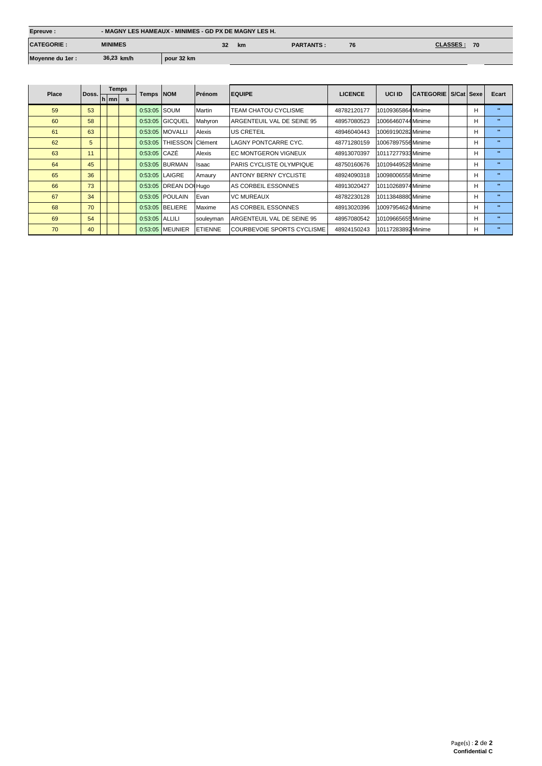| Epreuve:          | - MAGNY LES HAMEAUX - MINIMES - GD PX DE MAGNY LES H. |            |    |           |                  |    |                       |
|-------------------|-------------------------------------------------------|------------|----|-----------|------------------|----|-----------------------|
| <b>CATEGORIE:</b> | <b>MINIMES</b>                                        |            | 32 | <b>km</b> | <b>PARTANTS:</b> | 76 | <b>CLASSES:</b><br>70 |
| Moyenne du 1er :  | 36,23 km/h                                            | pour 32 km |    |           |                  |    |                       |

|       |                    | <b>Temps</b> |   | <b>Temps NOM</b> |                          |                |                                  |                |                    |                             |   |              |
|-------|--------------------|--------------|---|------------------|--------------------------|----------------|----------------------------------|----------------|--------------------|-----------------------------|---|--------------|
| Place | Doss. <sub>r</sub> | h mn         | s |                  |                          | Prénom         | <b>EQUIPE</b>                    | <b>LICENCE</b> | <b>UCI ID</b>      | <b>CATEGORIE S/Cat Sexe</b> |   | Ecart        |
| 59    | 53                 |              |   | 0:53:05 SOUM     |                          | Martin         | TEAM CHATOU CYCLISME             | 48782120177    | 10109365864 Minime |                             | H | п.           |
| 60    | 58                 |              |   |                  | 0:53:05 GICQUEL          | Mahyron        | ARGENTEUIL VAL DE SEINE 95       | 48957080523    | 10066460744 Minime |                             | H | $\mathbf{u}$ |
| 61    | 63                 |              |   |                  | 0:53:05 MOVALLI          | Alexis         | <b>US CRETEIL</b>                | 48946040443    | 10069190282 Minime |                             | H | $\mathbf{u}$ |
| 62    | 5                  |              |   |                  | 0:53:05 THIESSON Clément |                | <b>ILAGNY PONTCARRE CYC.</b>     | 48771280159    | 10067897556 Minime |                             | H | $\bullet$    |
| 63    | 11                 |              |   | $0:53:05$ CAZE   |                          | Alexis         | <b>IEC MONTGERON VIGNEUX</b>     | 48913070397    | 10117277933 Minime |                             | H | $\mathbf{u}$ |
| 64    | 45                 |              |   |                  | 0:53:05 BURMAN           | <b>Isaac</b>   | <b>IPARIS CYCLISTE OLYMPIQUE</b> | 48750160676    | 10109449528 Minime |                             | H | $\mathbf{u}$ |
| 65    | 36                 |              |   |                  | 0:53:05 LAIGRE           | Amaury         | <b>IANTONY BERNY CYCLISTE</b>    | 48924090318    | 10098006558 Minime |                             | H | $\mathbf{u}$ |
| 66    | 73                 |              |   |                  | 0:53:05 DREAN DOI Hugo   |                | <b>AS CORBEIL ESSONNES</b>       | 48913020427    | 10110268974 Minime |                             | H | $\mathbf{H}$ |
| 67    | 34                 |              |   |                  | 0:53:05 POULAIN          | Evan           | <b>VC MUREAUX</b>                | 48782230128    | 10113848880 Minime |                             | H | $\mathbf{u}$ |
| 68    | 70                 |              |   |                  | 0:53:05 BELIERE          | Maxime         | AS CORBEIL ESSONNES              | 48913020396    | 10097954624 Minime |                             | H | $\bullet$    |
| 69    | 54                 |              |   | 0:53:05 ALLILI   |                          | souleyman      | ARGENTEUIL VAL DE SEINE 95       | 48957080542    | 10109665655 Minime |                             | H | $\mathbf{H}$ |
| 70    | 40                 |              |   |                  | 0:53:05 MEUNIER          | <b>ETIENNE</b> | COURBEVOIE SPORTS CYCLISME       | 48924150243    | 10117283892 Minime |                             | H | $\mathbf{u}$ |